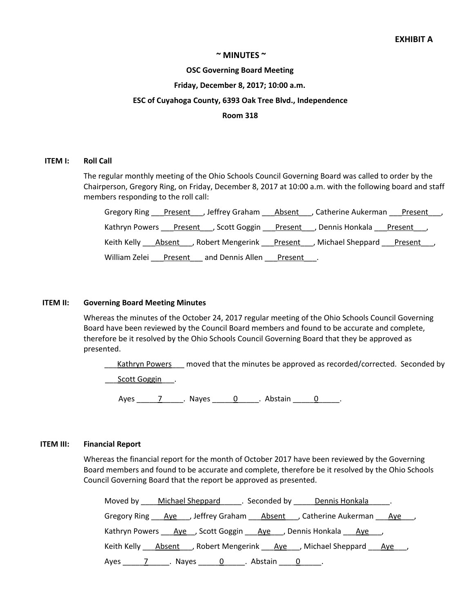## **~ MINUTES ~**

#### **OSC Governing Board Meeting**

### **Friday, December 8, 2017; 10:00 a.m.**

# **ESC of Cuyahoga County, 6393 Oak Tree Blvd., Independence**

### **Room 318**

#### **ITEM I: Roll Call**

The regular monthly meeting of the Ohio Schools Council Governing Board was called to order by the Chairperson, Gregory Ring, on Friday, December 8, 2017 at 10:00 a.m. with the following board and staff members responding to the roll call:

|                                                                                               | Gregory Ring Present Jeffrey Graham Absent JCatherine Aukerman Present J          |
|-----------------------------------------------------------------------------------------------|-----------------------------------------------------------------------------------|
| Kathryn Powers ___ Present ___, Scott Goggin ___ Present ___, Dennis Honkala ___ Present ___, |                                                                                   |
|                                                                                               | Keith Kelly <b>Absent</b> , Robert Mengerink Present , Michael Sheppard Present , |
| William Zelei<br>and Dennis Allen ___ Present ___.<br><u>Present</u>                          |                                                                                   |

## **ITEM II: Governing Board Meeting Minutes**

Whereas the minutes of the October 24, 2017 regular meeting of the Ohio Schools Council Governing Board have been reviewed by the Council Board members and found to be accurate and complete, therefore be it resolved by the Ohio Schools Council Governing Board that they be approved as presented.

Kathryn Powers compred that the minutes be approved as recorded/corrected. Seconded by

\_\_\_Scott Goggin\_\_\_.

Ayes \_\_\_\_\_\_\_\_\_\_\_\_\_\_\_\_\_. Nayes \_\_\_\_\_\_\_\_0\_\_\_\_\_\_\_. Abstain \_\_\_\_\_\_\_0\_\_\_\_\_\_\_.

## **ITEM III: Financial Report**

Whereas the financial report for the month of October 2017 have been reviewed by the Governing Board members and found to be accurate and complete, therefore be it resolved by the Ohio Schools Council Governing Board that the report be approved as presented.

| Moved by Michael Sheppard Moved by Dennis Honkala                                       |
|-----------------------------------------------------------------------------------------|
| Gregory Ring Ave , Jeffrey Graham Absent , Catherine Aukerman Ave ,                     |
| Kathryn Powers <i>___ Aye___,</i> Scott Goggin ___ Aye ___, Dennis Honkala ___ Aye ___, |
| Keith Kelly Absent , Robert Mengerink Aye , Michael Sheppard Aye,                       |
|                                                                                         |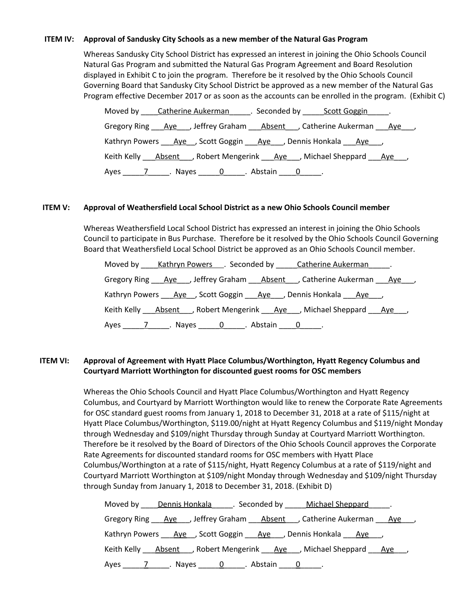# **ITEM IV: Approval of Sandusky City Schools as a new member of the Natural Gas Program**

Whereas Sandusky City School District has expressed an interest in joining the Ohio Schools Council Natural Gas Program and submitted the Natural Gas Program Agreement and Board Resolution displayed in Exhibit C to join the program. Therefore be it resolved by the Ohio Schools Council Governing Board that Sandusky City School District be approved as a new member of the Natural Gas Program effective December 2017 or as soon as the accounts can be enrolled in the program. (Exhibit C)

| Moved by Catherine Aukerman Execonded by Scott Goggin Formulation                |
|----------------------------------------------------------------------------------|
| Gregory Ring Aye , Jeffrey Graham Absent , Catherine Aukerman Aye ,              |
| Kathryn Powers Ave , Scott Goggin Ave , Dennis Honkala Ave                       |
| Keith Kelly Absent , Robert Mengerink Aye , Michael Sheppard Aye ,               |
| Ayes 7 ____________. Nayes <u>______0</u> ______. Abstain _____ <u>0</u> ______. |

# **ITEM V: Approval of Weathersfield Local School District as a new Ohio Schools Council member**

Whereas Weathersfield Local School District has expressed an interest in joining the Ohio Schools Council to participate in Bus Purchase. Therefore be it resolved by the Ohio Schools Council Governing Board that Weathersfield Local School District be approved as an Ohio Schools Council member.

| Moved by Kathryn Powers Conded by Catherine Aukerman L.             |  |
|---------------------------------------------------------------------|--|
| Gregory Ring Aye , Jeffrey Graham Absent , Catherine Aukerman Aye , |  |
| Kathryn Powers Ave , Scott Goggin Ave , Dennis Honkala Ave ,        |  |
| Keith Kelly Absent , Robert Mengerink Aye , Michael Sheppard Aye,   |  |
|                                                                     |  |

# **ITEM VI: Approval of Agreement with Hyatt Place Columbus/Worthington, Hyatt Regency Columbus and Courtyard Marriott Worthington for discounted guest rooms for OSC members**

Whereas the Ohio Schools Council and Hyatt Place Columbus/Worthington and Hyatt Regency Columbus, and Courtyard by Marriott Worthington would like to renew the Corporate Rate Agreements for OSC standard guest rooms from January 1, 2018 to December 31, 2018 at a rate of \$115/night at Hyatt Place Columbus/Worthington, \$119.00/night at Hyatt Regency Columbus and \$119/night Monday through Wednesday and \$109/night Thursday through Sunday at Courtyard Marriott Worthington. Therefore be it resolved by the Board of Directors of the Ohio Schools Council approves the Corporate Rate Agreements for discounted standard rooms for OSC members with Hyatt Place Columbus/Worthington at a rate of \$115/night, Hyatt Regency Columbus at a rate of \$119/night and Courtyard Marriott Worthington at \$109/night Monday through Wednesday and \$109/night Thursday through Sunday from January 1, 2018 to December 31, 2018. (Exhibit D)

| Moved by Dennis Honkala Seconded by Michael Sheppard J.                                                        |
|----------------------------------------------------------------------------------------------------------------|
| Gregory Ring Ave , Jeffrey Graham Absent , Catherine Aukerman Ave                                              |
| Kathryn Powers ___ Aye __ , Scott Goggin ___ Aye __ , Dennis Honkala ___ Aye __ ,                              |
| Keith Kelly Absent , Robert Mengerink Aye , Michael Sheppard Aye,                                              |
| Ayes 11.1 Ayes 1.1 Ayes 2.1 Abstain 2.1 Ayes 2.1 Ayes 2.1 Ayes 2.1 Ayes 2.1 Ayes 2.1 Ayes 2.1 Ayes 2.1 Ayes 2. |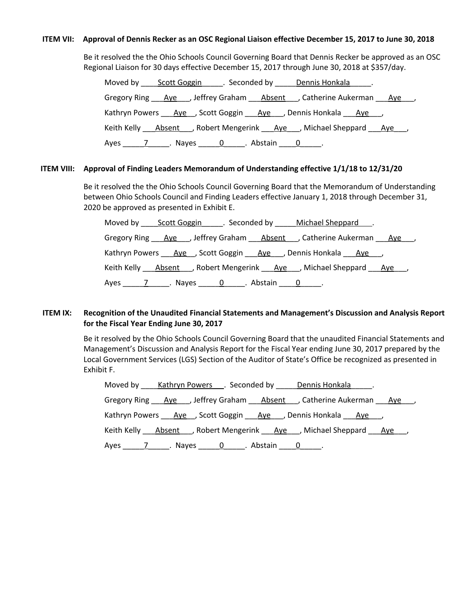## ITEM VII: Approval of Dennis Recker as an OSC Regional Liaison effective December 15, 2017 to June 30, 2018

Be it resolved the the Ohio Schools Council Governing Board that Dennis Recker be approved as an OSC Regional Liaison for 30 days effective December 15, 2017 through June 30, 2018 at \$357/day.

|  | Moved by Scott Goggin Seconded by Dennis Honkala .                  |  |
|--|---------------------------------------------------------------------|--|
|  | Gregory Ring Ave , Jeffrey Graham Absent , Catherine Aukerman Ave , |  |
|  | Kathryn Powers Ave , Scott Goggin Ave , Dennis Honkala Ave ,        |  |
|  | Keith Kelly Absent , Robert Mengerink Aye , Michael Sheppard Aye,   |  |
|  |                                                                     |  |

# **ITEM VIII: Approval of Finding Leaders Memorandum of Understanding effective 1/1/18 to 12/31/20**

Be it resolved the the Ohio Schools Council Governing Board that the Memorandum of Understanding between Ohio Schools Council and Finding Leaders effective January 1, 2018 through December 31, 2020 be approved as presented in Exhibit E.

|  | Moved by Scott Goggin Seconded by Michael Sheppard .                |  |
|--|---------------------------------------------------------------------|--|
|  | Gregory Ring Ave , Jeffrey Graham Absent , Catherine Aukerman Ave , |  |
|  | Kathryn Powers Aye, Scott Goggin Aye, Dennis Honkala Aye,           |  |
|  | Keith Kelly Absent , Robert Mengerink Aye , Michael Sheppard Aye,   |  |
|  |                                                                     |  |

# **ITEM IX: Recognition of the Unaudited Financial Statements and Management's Discussion and Analysis Report for the Fiscal Year Ending June 30, 2017**

Be it resolved by the Ohio Schools Council Governing Board that the unaudited Financial Statements and Management's Discussion and Analysis Report for the Fiscal Year ending June 30, 2017 prepared by the Local Government Services (LGS) Section of the Auditor of State's Office be recognized as presented in Exhibit F.

|  | Moved by Kathryn Powers Formular Seconded by Dennis Honkala               |  |
|--|---------------------------------------------------------------------------|--|
|  | Gregory Ring Ave , Jeffrey Graham Absent , Catherine Aukerman Ave ,       |  |
|  | Kathryn Powers <u>Aye</u> , Scott Goggin <u>Aye</u> , Dennis Honkala Aye, |  |
|  | Keith Kelly Absent Robert Mengerink Aye Michael Sheppard Aye Robert       |  |
|  |                                                                           |  |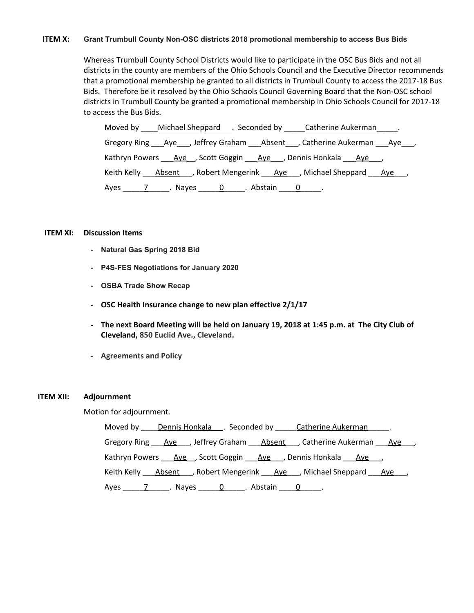## **ITEM X: Grant Trumbull County Non-OSC districts 2018 promotional membership to access Bus Bids**

Whereas Trumbull County School Districts would like to participate in the OSC Bus Bids and not all districts in the county are members of the Ohio Schools Council and the Executive Director recommends that a promotional membership be granted to all districts in Trumbull County to access the 2017-18 Bus Bids. Therefore be it resolved by the Ohio Schools Council Governing Board that the Non-OSC school districts in Trumbull County be granted a promotional membership in Ohio Schools Council for 2017-18 to access the Bus Bids.

Moved by Michael Sheppard . Seconded by Catherine Aukerman . Gregory Ring \_\_\_\_Aye\_\_\_, Jeffrey Graham \_\_\_\_Absent \_\_\_, Catherine Aukerman \_\_\_\_Aye\_\_\_\_, Kathryn Powers Aye , Scott Goggin Aye , Dennis Honkala Aye, Keith Kelly  $\overline{A}$  Absent , Robert Mengerink  $\overline{A}$  Aye , Michael Sheppard  $\overline{A}$ ye , Ayes \_\_\_\_\_7\_\_\_\_\_. Nayes \_\_\_\_\_0\_\_\_\_\_. Abstain \_\_\_\_0\_\_\_\_\_.

#### **ITEM XI: Discussion Items**

- **- Natural Gas Spring 2018 Bid**
- **- P4S-FES Negotiations for January 2020**
- **- OSBA Trade Show Recap**
- **- OSC Health Insurance change to new plan effective 2/1/17**
- The next Board Meeting will be held on January 19, 2018 at 1:45 p.m. at The City Club of **Cleveland, 850 Euclid Ave., Cleveland.**
- **- Agreements and Policy**

## **ITEM XII: Adjournment**

Motion for adjournment.

Moved by Dennis Honkala . Seconded by Catherine Aukerman . Gregory Ring <u>Aye</u> , Jeffrey Graham Absent , Catherine Aukerman Aye, Kathryn Powers Aye , Scott Goggin Aye , Dennis Honkala Aye, Keith Kelly \_\_\_\_Absent\_\_\_\_, Robert Mengerink \_\_\_\_Aye\_\_\_, Michael Sheppard \_\_\_\_Aye\_\_\_, Ayes \_\_\_\_\_7\_\_\_\_\_. Nayes \_\_\_\_\_0\_\_\_\_\_. Abstain \_\_\_\_0\_\_\_\_\_.